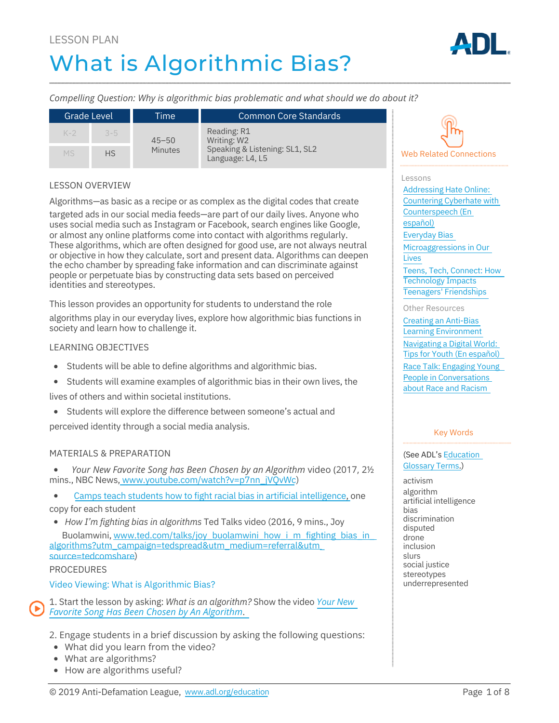# LESSON PLAN What is Algorithmic Bias?



*Compelling Question: Why is algorithmic bias problematic and what should we do about it?*

| Grade Level |           | Time'                       | <b>Common Core Standards</b>                                                     |
|-------------|-----------|-----------------------------|----------------------------------------------------------------------------------|
| $K-2$       | $3 - 5$   | $45 - 50$<br><b>Minutes</b> | Reading: R1<br>Writing: W2<br>Speaking & Listening: SL1, SL2<br>Language: L4, L5 |
| <b>MS</b>   | <b>HS</b> |                             |                                                                                  |

### LESSON OVERVIEW

Algorithms—as basic as a recipe or as complex as the digital codes that create

targeted ads in our social media feeds—are part of our daily lives. Anyone who uses social media such as Instagram or Facebook, search engines like Google, or almost any online platforms come into contact with algorithms regularly. These algorithms, which are often designed for good use, are not always neutral or objective in how they calculate, sort and present data. Algorithms can deepen the echo chamber by spreading fake information and can discriminate against people or perpetuate bias by constructing data sets based on perceived identities and stereotypes.

This lesson provides an opportunity for students to understand the role

algorithms play in our everyday lives, explore how algorithmic bias functions in society and learn how to challenge it.

#### LEARNING OBJECTIVES

- Students will be able to define algorithms and algorithmic bias.
- Students will examine examples of algorithmic bias in their own lives, the

lives of others and within societal institutions.

Students will explore the difference between someone's actual and

perceived identity through a social media analysis.

### MATERIALS & PREPARATION

*Your New Favorite Song has Been Chosen by an Algorithm* video (2017, 2½  $\bullet$ mins., NBC News, www.youtube.com/watch?v=p7nn\_jVQvWc)

- Camps teach students how to fight racial bias in artificial intelligence, one
- copy for each student

*How I'm fighting bias in algorithms* Ted Talks video (2016, 9 mins., Joy Buolamwini, www.ted.com/talks/joy\_buolamwini\_how\_i\_m\_fighting\_bias\_in algorithms?utm\_campaign=tedspread&utm\_medium=referral&utm\_ source=tedcomshare)

#### PROCEDURES

Video Viewing: What is Algorithmic Bias?

1. Start the lesson by asking: *What is an algorithm?* Show the video *Your New Favorite Song Has Been Chosen by An Algorithm*.

2. Engage students in a brief discussion by asking the following questions:

- What did you learn from the video?
- What are algorithms?
- How are algorithms useful?



#### Lessons

Addressing Hate Online: Countering Cyberhate with Counterspeech (En español) Everyday Bias Microaggressions in Our Lives Teens, Tech, Connect: How Technology Impacts Teenagers' Friendships Other Resources Creating an Anti-Bias

Learning Environment Navigating a Digital World: Tips for Youth (En español) Race Talk: Engaging Young People in Conversations about Race and Racism

#### Key Words

(See ADL's Education Glossary Terms.)

activism algorithm artificial intelligence bias discrimination disputed drone inclusion slurs social justice stereotypes underrepresented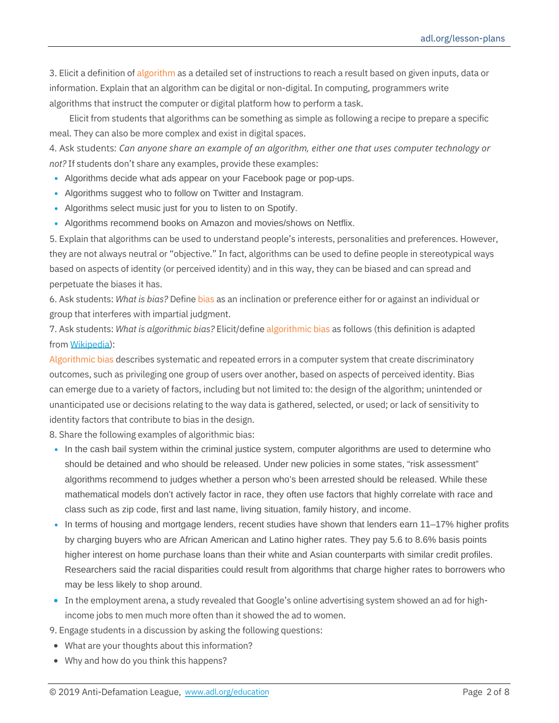3. Elicit a definition of algorithm as a detailed set of instructions to reach a result based on given inputs, data or information. Explain that an algorithm can be digital or non-digital. In computing, programmers write algorithms that instruct the computer or digital platform how to perform a task.

Elicit from students that algorithms can be something as simple as following a recipe to prepare a specific meal. They can also be more complex and exist in digital spaces.

4. Ask students: *Can anyone share an example of an algorithm, either one that uses computer technology or not?* If students don't share any examples, provide these examples:

- Algorithms decide what ads appear on your Facebook page or pop-ups.
- Algorithms suggest who to follow on Twitter and Instagram.
- Algorithms select music just for you to listen to on Spotify.
- Algorithms recommend books on Amazon and movies/shows on Netflix.

5. Explain that algorithms can be used to understand people's interests, personalities and preferences. However, they are not always neutral or "objective." In fact, algorithms can be used to define people in stereotypical ways based on aspects of identity (or perceived identity) and in this way, they can be biased and can spread and perpetuate the biases it has.

6. Ask students: *What is bias?* Define bias as an inclination or preference either for or against an individual or group that interferes with impartial judgment.

7. Ask students: *What is algorithmic bias?* Elicit/define algorithmic bias as follows (this definition is adapted from Wikipedia):

Algorithmic bias describes systematic and repeated errors in a computer system that create discriminatory outcomes, such as privileging one group of users over another, based on aspects of perceived identity. Bias can emerge due to a variety of factors, including but not limited to: the design of the algorithm; unintended or unanticipated use or decisions relating to the way data is gathered, selected, or used; or lack of sensitivity to identity factors that contribute to bias in the design.

8. Share the following examples of algorithmic bias:

- In the cash bail system within the criminal justice system, computer algorithms are used to determine who should be detained and who should be released. Under new policies in some states, "risk assessment" algorithms recommend to judges whether a person who's been arrested should be released. While these mathematical models don't actively factor in race, they often use factors that highly correlate with race and class such as zip code, first and last name, living situation, family history, and income.
- In terms of housing and mortgage lenders, recent studies have shown that lenders earn 11–17% higher profits by charging buyers who are African American and Latino higher rates. They pay 5.6 to 8.6% basis points higher interest on home purchase loans than their white and Asian counterparts with similar credit profiles. Researchers said the racial disparities could result from algorithms that charge higher rates to borrowers who may be less likely to shop around.
- In the employment arena, a study revealed that Google's online advertising system showed an ad for highincome jobs to men much more often than it showed the ad to women.
- 9. Engage students in a discussion by asking the following questions:
- What are your thoughts about this information?
- Why and how do you think this happens?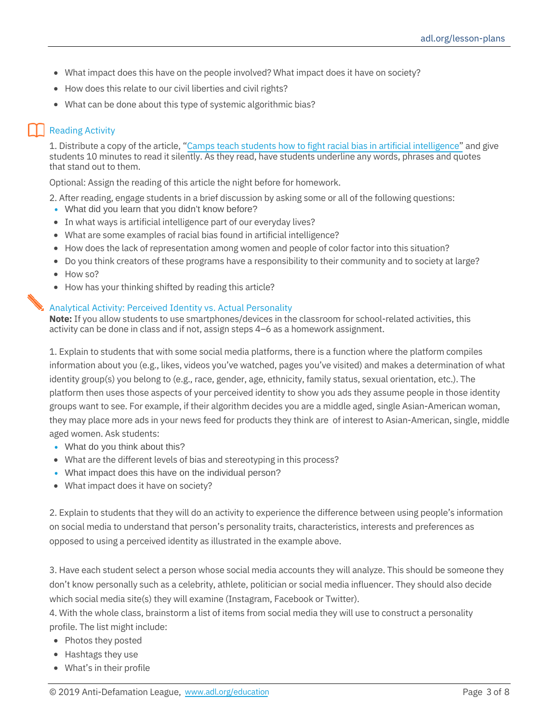- What impact does this have on the people involved? What impact does it have on society?
- How does this relate to our civil liberties and civil rights?
- What can be done about this type of systemic algorithmic bias?

# Reading Activity

1. Distribute a copy of the article, "Camps teach students how to fight racial bias in artificial intelligence" and give students 10 minutes to read it silently. As they read, have students underline any words, phrases and quotes that stand out to them.

Optional: Assign the reading of this article the night before for homework.

2. After reading, engage students in a brief discussion by asking some or all of the following questions:

- What did you learn that you didn't know before?
- In what ways is artificial intelligence part of our everyday lives?
- What are some examples of racial bias found in artificial intelligence?
- How does the lack of representation among women and people of color factor into this situation?
- Do you think creators of these programs have a responsibility to their community and to society at large?
- How so?
- How has your thinking shifted by reading this article?

### Analytical Activity: Perceived Identity vs. Actual Personality

**Note:** If you allow students to use smartphones/devices in the classroom for school-related activities, this activity can be done in class and if not, assign steps 4–6 as a homework assignment.

1. Explain to students that with some social media platforms, there is a function where the platform compiles information about you (e.g., likes, videos you've watched, pages you've visited) and makes a determination of what identity group(s) you belong to (e.g., race, gender, age, ethnicity, family status, sexual orientation, etc.). The platform then uses those aspects of your perceived identity to show you ads they assume people in those identity groups want to see. For example, if their algorithm decides you are a middle aged, single Asian-American woman, they may place more ads in your news feed for products they think are of interest to Asian-American, single, middle aged women. Ask students:

- What do you think about this?
- What are the different levels of bias and stereotyping in this process?
- What impact does this have on the individual person?
- What impact does it have on society?

2. Explain to students that they will do an activity to experience the difference between using people's information on social media to understand that person's personality traits, characteristics, interests and preferences as opposed to using a perceived identity as illustrated in the example above.

3. Have each student select a person whose social media accounts they will analyze. This should be someone they don't know personally such as a celebrity, athlete, politician or social media influencer. They should also decide which social media site(s) they will examine (Instagram, Facebook or Twitter).

4. With the whole class, brainstorm a list of items from social media they will use to construct a personality profile. The list might include:

- Photos they posted
- Hashtags they use
- What's in their profile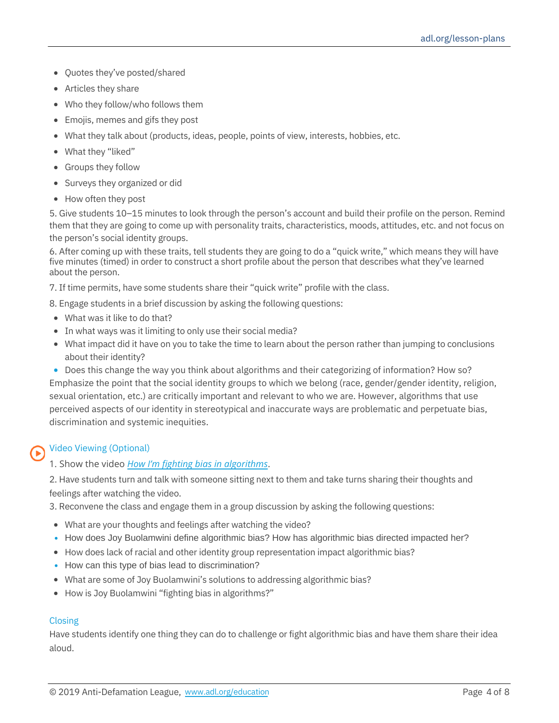- Ouotes they've posted/shared
- Articles they share
- Who they follow/who follows them
- Emojis, memes and gifs they post
- What they talk about (products, ideas, people, points of view, interests, hobbies, etc.
- What they "liked"
- Groups they follow
- Surveys they organized or did
- How often they post

5. Give students 10–15 minutes to look through the person's account and build their profile on the person. Remind them that they are going to come up with personality traits, characteristics, moods, attitudes, etc. and not focus on the person's social identity groups.

6. After coming up with these traits, tell students they are going to do a "quick write," which means they will have five minutes (timed) in order to construct a short profile about the person that describes what they've learned about the person.

7. If time permits, have some students share their "quick write" profile with the class.

8. Engage students in a brief discussion by asking the following questions:

- What was it like to do that?
- In what ways was it limiting to only use their social media?
- What impact did it have on you to take the time to learn about the person rather than jumping to conclusions about their identity?

Does this change the way you think about algorithms and their categorizing of information? How so? Emphasize the point that the social identity groups to which we belong (race, gender/gender identity, religion, sexual orientation, etc.) are critically important and relevant to who we are. However, algorithms that use perceived aspects of our identity in stereotypical and inaccurate ways are problematic and perpetuate bias, discrimination and systemic inequities.

## Video Viewing (Optional)

1. Show the video *How I'm fighting bias in algorithms*.

2. Have students turn and talk with someone sitting next to them and take turns sharing their thoughts and feelings after watching the video.

3. Reconvene the class and engage them in a group discussion by asking the following questions:

- What are your thoughts and feelings after watching the video?
- How does Joy Buolamwini define algorithmic bias? How has algorithmic bias directed impacted her?
- How does lack of racial and other identity group representation impact algorithmic bias?
- How can this type of bias lead to discrimination?
- What are some of Joy Buolamwini's solutions to addressing algorithmic bias?
- How is Joy Buolamwini "fighting bias in algorithms?"

### Closing

Have students identify one thing they can do to challenge or fight algorithmic bias and have them share their idea aloud.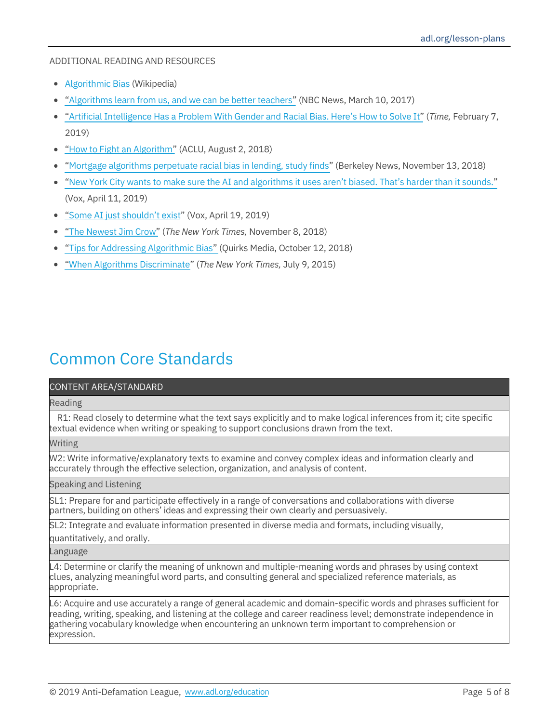## ADDITIONAL READING AND RESOURCES

- Algorithmic Bias (Wikipedia)
- "Algorithms learn from us, and we can be better teachers" (NBC News, March 10, 2017)
- "Artificial Intelligence Has a Problem With Gender and Racial Bias. Here's How to Solve It" (*Time,* February 7, 2019)
- "How to Fight an Algorithm" (ACLU, August 2, 2018)
- "Mortgage algorithms perpetuate racial bias in lending, study finds" (Berkeley News, November 13, 2018)
- "New York City wants to make sure the AI and algorithms it uses aren't biased. That's harder than it sounds."  $\bullet$ (Vox, April 11, 2019)
- "Some AI just shouldn't exist" (Vox, April 19, 2019)
- "The Newest Jim Crow" (*The New York Times,* November 8, 2018)  $\bullet$
- "Tips for Addressing Algorithmic Bias" (Quirks Media, October 12, 2018)  $\bullet$
- "When Algorithms Discriminate" (*The New York Times,* July 9, 2015)  $\bullet$

# Common Core Standards

### CONTENT AREA/STANDARD

Reading

R1: Read closely to determine what the text says explicitly and to make logical inferences from it; cite specific textual evidence when writing or speaking to support conclusions drawn from the text.

Writing

W2: Write informative/explanatory texts to examine and convey complex ideas and information clearly and accurately through the effective selection, organization, and analysis of content.

Speaking and Listening

SL1: Prepare for and participate effectively in a range of conversations and collaborations with diverse partners, building on others' ideas and expressing their own clearly and persuasively.

SL2: Integrate and evaluate information presented in diverse media and formats, including visually,

quantitatively, and orally.

Language

L4: Determine or clarify the meaning of unknown and multiple-meaning words and phrases by using context clues, analyzing meaningful word parts, and consulting general and specialized reference materials, as appropriate.

L6: Acquire and use accurately a range of general academic and domain-specific words and phrases sufficient for reading, writing, speaking, and listening at the college and career readiness level; demonstrate independence in gathering vocabulary knowledge when encountering an unknown term important to comprehension or expression.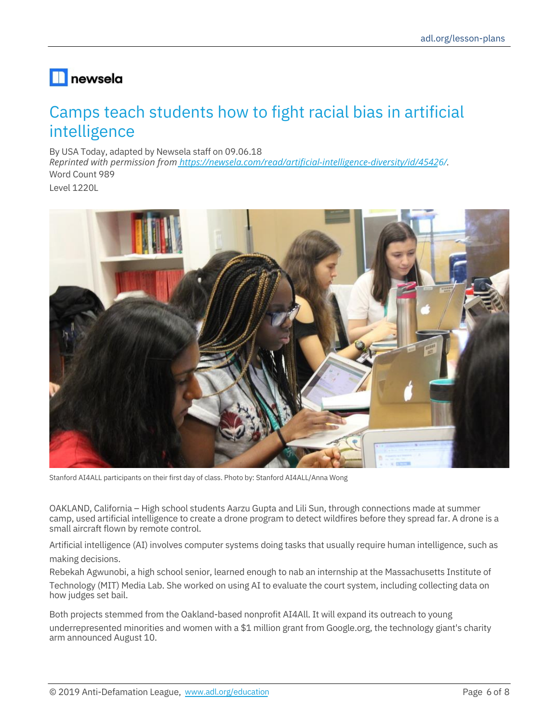# $\blacksquare$ newsela

# Camps teach students how to fight racial bias in artificial intelligence

By USA Today, adapted by Newsela staff on 09.06.18 Word Count 989 *Reprinted with permission from https://newsela.com/read/artificial-intelligence-diversity/id/45426/.*

Level 1220L



Stanford AI4ALL participants on their first day of class. Photo by: Stanford AI4ALL/Anna Wong

OAKLAND, California – High school students Aarzu Gupta and Lili Sun, through connections made at summer camp, used artificial intelligence to create a drone program to detect wildfires before they spread far. A drone is a small aircraft flown by remote control.

Artificial intelligence (AI) involves computer systems doing tasks that usually require human intelligence, such as making decisions.

Rebekah Agwunobi, a high school senior, learned enough to nab an internship at the Massachusetts Institute of Technology (MIT) Media Lab. She worked on using AI to evaluate the court system, including collecting data on how judges set bail.

Both projects stemmed from the Oakland-based nonprofit AI4All. It will expand its outreach to young underrepresented minorities and women with a \$1 million grant from Google.org, the technology giant's charity arm announced August 10.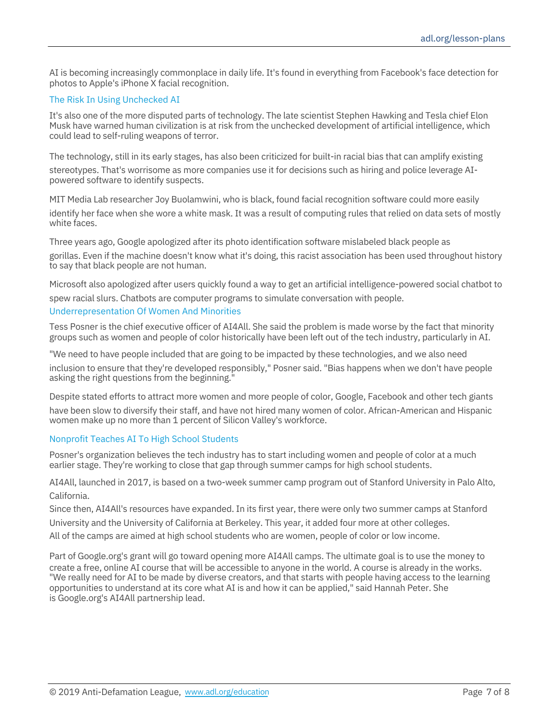AI is becoming increasingly commonplace in daily life. It's found in everything from Facebook's face detection for photos to Apple's iPhone X facial recognition.

#### The Risk In Using Unchecked AI

It's also one of the more disputed parts of technology. The late scientist Stephen Hawking and Tesla chief Elon Musk have warned human civilization is at risk from the unchecked development of artificial intelligence, which could lead to self-ruling weapons of terror.

The technology, still in its early stages, has also been criticized for built-in racial bias that can amplify existing stereotypes. That's worrisome as more companies use it for decisions such as hiring and police leverage AIpowered software to identify suspects.

MIT Media Lab researcher Joy Buolamwini, who is black, found facial recognition software could more easily identify her face when she wore a white mask. It was a result of computing rules that relied on data sets of mostly white faces.

Three years ago, Google apologized after its photo identification software mislabeled black people as gorillas. Even if the machine doesn't know what it's doing, this racist association has been used throughout history to say that black people are not human.

Microsoft also apologized after users quickly found a way to get an artificial intelligence-powered social chatbot to spew racial slurs. Chatbots are computer programs to simulate conversation with people.

### Underrepresentation Of Women And Minorities

Tess Posner is the chief executive officer of AI4All. She said the problem is made worse by the fact that minority groups such as women and people of color historically have been left out of the tech industry, particularly in AI.

"We need to have people included that are going to be impacted by these technologies, and we also need

inclusion to ensure that they're developed responsibly," Posner said. "Bias happens when we don't have people asking the right questions from the beginning.<sup>1</sup>

Despite stated efforts to attract more women and more people of color, Google, Facebook and other tech giants have been slow to diversify their staff, and have not hired many women of color. African-American and Hispanic women make up no more than 1 percent of Silicon Valley's workforce.

#### Nonprofit Teaches AI To High School Students

Posner's organization believes the tech industry has to start including women and people of color at a much earlier stage. They're working to close that gap through summer camps for high school students.

AI4All, launched in 2017, is based on a two-week summer camp program out of Stanford University in Palo Alto, California.

Since then, AI4All's resources have expanded. In its first year, there were only two summer camps at Stanford University and the University of California at Berkeley. This year, it added four more at other colleges.

All of the camps are aimed at high school students who are women, people of color or low income.

Part of Google.org's grant will go toward opening more AI4All camps. The ultimate goal is to use the money to create a free, online AI course that will be accessible to anyone in the world. A course is already in the works. "We really need for AI to be made by diverse creators, and that starts with people having access to the learning opportunities to understand at its core what AI is and how it can be applied," said Hannah Peter. She is Google.org's AI4All partnership lead.